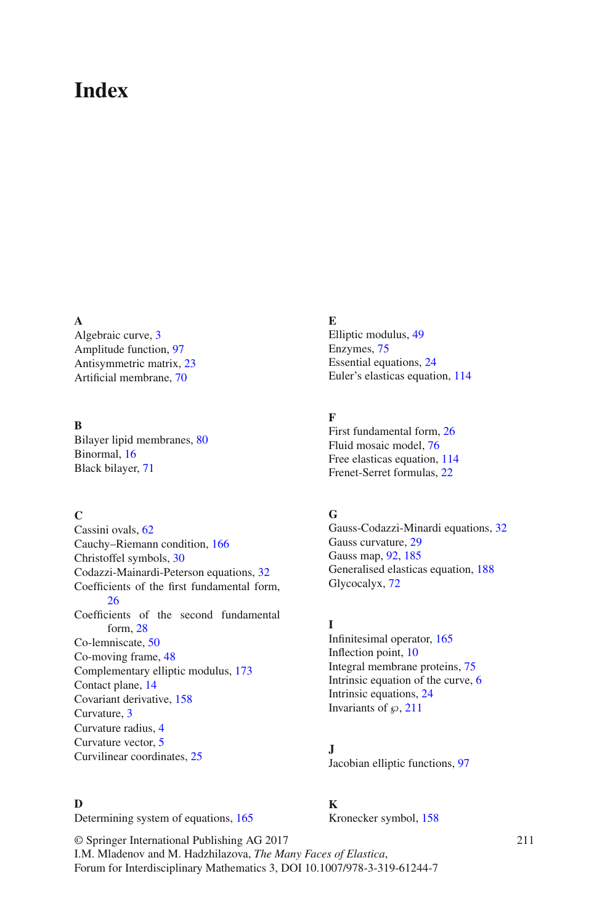# **Index**

#### **A**

Algebraic curve, 3 Amplitude function, 97 Antisymmetric matrix, 23 Artificial membrane, 70

### **B**

Bilayer lipid membranes, 80 Binormal, 16 Black bilayer, 71

#### **C**

Cassini ovals, 62 Cauchy–Riemann condition, 166 Christoffel symbols, 30 Codazzi-Mainardi-Peterson equations, 32 Coefficients of the first fundamental form, 26 Coefficients of the second fundamental form, 28 Co-lemniscate, 50 Co-moving frame, 48 Complementary elliptic modulus, 173 Contact plane, 14 Covariant derivative, 158 Curvature, 3 Curvature radius, 4 Curvature vector, 5 Curvilinear coordinates, 25

#### **D**

Determining system of equations, 165

**E** Elliptic modulus, 49 Enzymes, 75 Essential equations, 24 Euler's elasticas equation, 114

# **F**

First fundamental form, 26 Fluid mosaic model, 76 Free elasticas equation, 114 Frenet-Serret formulas, 22

## **G**

Gauss-Codazzi-Minardi equations, 32 Gauss curvature, 29 Gauss map, 92, 185 Generalised elasticas equation, 188 Glycocalyx, 72

#### **I**

Infinitesimal operator, 165 Inflection point, 10 Integral membrane proteins, 75 Intrinsic equation of the curve, 6 Intrinsic equations, 24 Invariants of  $\wp$ , 211

# **J**

Jacobian elliptic functions, 97

# **K**

Kronecker symbol, 158

© Springer International Publishing AG 2017 I.M. Mladenov and M. Hadzhilazova, *The Many Faces of Elastica*, Forum for Interdisciplinary Mathematics 3, DOI 10.1007/978-3-319-61244-7